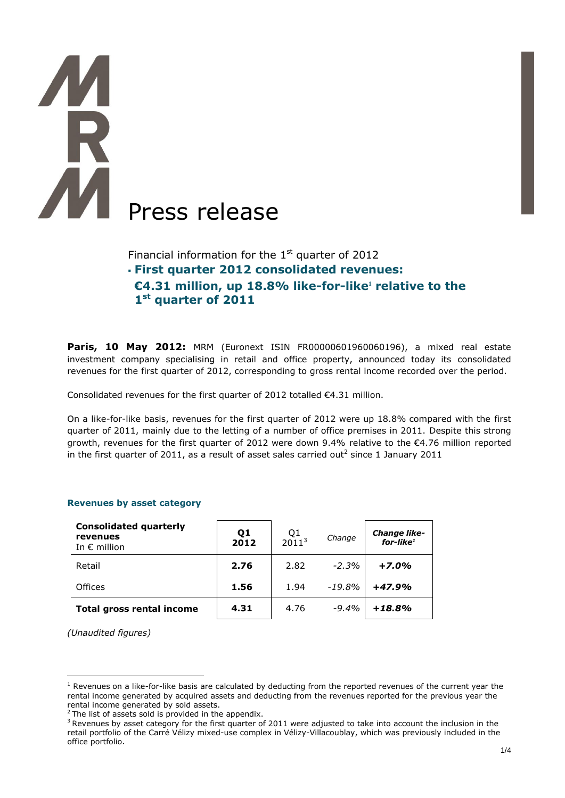# Press release

Financial information for the  $1<sup>st</sup>$  quarter of 2012 **First quarter 2012 consolidated revenues: €4.31 million, up 18.8% like-for-like<sup>1</sup> relative to the 1 st quarter of 2011**

**Paris, 10 May 2012:** MRM (Euronext ISIN FR00000601960060196), a mixed real estate investment company specialising in retail and office property, announced today its consolidated revenues for the first quarter of 2012, corresponding to gross rental income recorded over the period.

Consolidated revenues for the first quarter of 2012 totalled €4.31 million.

On a like-for-like basis, revenues for the first quarter of 2012 were up 18.8% compared with the first quarter of 2011, mainly due to the letting of a number of office premises in 2011. Despite this strong growth, revenues for the first quarter of 2012 were down 9.4% relative to the €4.76 million reported in the first quarter of 2011, as a result of asset sales carried out<sup>2</sup> since 1 January 2011

| <b>Consolidated quarterly</b><br>revenues<br>In $\epsilon$ million | Q <sub>1</sub><br>2012 | $Q1$<br>2011 <sup>3</sup> | Change   | <b>Change like-</b><br>$for$ -like <sup>1</sup> |
|--------------------------------------------------------------------|------------------------|---------------------------|----------|-------------------------------------------------|
| Retail                                                             | 2.76                   | 2.82                      | $-2.3%$  | $+7.0%$                                         |
| Offices                                                            | 1.56                   | 1.94                      | $-19.8%$ | $+47.9%$                                        |
| <b>Total gross rental income</b>                                   | 4.31                   | 4.76                      | $-9.4%$  | $+18.8%$                                        |

## **Revenues by asset category**

*(Unaudited figures)*

 $\overline{a}$ 

 $1$  Revenues on a like-for-like basis are calculated by deducting from the reported revenues of the current year the rental income generated by acquired assets and deducting from the revenues reported for the previous year the rental income generated by sold assets.

 $2$  The list of assets sold is provided in the appendix.

 $3$  Revenues by asset category for the first quarter of 2011 were adjusted to take into account the inclusion in the retail portfolio of the Carré Vélizy mixed-use complex in Vélizy-Villacoublay, which was previously included in the office portfolio.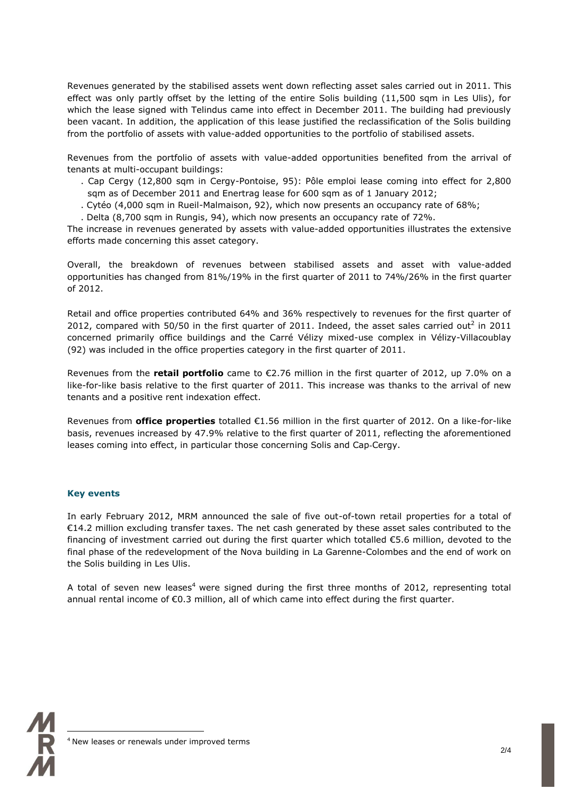Revenues generated by the stabilised assets went down reflecting asset sales carried out in 2011. This effect was only partly offset by the letting of the entire Solis building (11,500 sqm in Les Ulis), for which the lease signed with Telindus came into effect in December 2011. The building had previously been vacant. In addition, the application of this lease justified the reclassification of the Solis building from the portfolio of assets with value-added opportunities to the portfolio of stabilised assets.

Revenues from the portfolio of assets with value-added opportunities benefited from the arrival of tenants at multi-occupant buildings:

- . Cap Cergy (12,800 sqm in Cergy-Pontoise, 95): Pôle emploi lease coming into effect for 2,800 sqm as of December 2011 and Enertrag lease for 600 sqm as of 1 January 2012;
- . Cytéo (4,000 sqm in Rueil-Malmaison, 92), which now presents an occupancy rate of 68%;
- . Delta (8,700 sqm in Rungis, 94), which now presents an occupancy rate of 72%.

The increase in revenues generated by assets with value-added opportunities illustrates the extensive efforts made concerning this asset category.

Overall, the breakdown of revenues between stabilised assets and asset with value-added opportunities has changed from 81%/19% in the first quarter of 2011 to 74%/26% in the first quarter of 2012.

Retail and office properties contributed 64% and 36% respectively to revenues for the first quarter of 2012, compared with 50/50 in the first quarter of 2011. Indeed, the asset sales carried out<sup>2</sup> in 2011 concerned primarily office buildings and the Carré Vélizy mixed-use complex in Vélizy-Villacoublay (92) was included in the office properties category in the first quarter of 2011.

Revenues from the **retail portfolio** came to €2.76 million in the first quarter of 2012, up 7.0% on a like-for-like basis relative to the first quarter of 2011. This increase was thanks to the arrival of new tenants and a positive rent indexation effect.

Revenues from **office properties** totalled €1.56 million in the first quarter of 2012. On a like-for-like basis, revenues increased by 47.9% relative to the first quarter of 2011, reflecting the aforementioned leases coming into effect, in particular those concerning Solis and Cap-Cergy.

### **Key events**

In early February 2012, MRM announced the sale of five out-of-town retail properties for a total of €14.2 million excluding transfer taxes. The net cash generated by these asset sales contributed to the financing of investment carried out during the first quarter which totalled €5.6 million, devoted to the final phase of the redevelopment of the Nova building in La Garenne-Colombes and the end of work on the Solis building in Les Ulis.

A total of seven new leases<sup>4</sup> were signed during the first three months of 2012, representing total annual rental income of €0.3 million, all of which came into effect during the first quarter.



 $\overline{a}$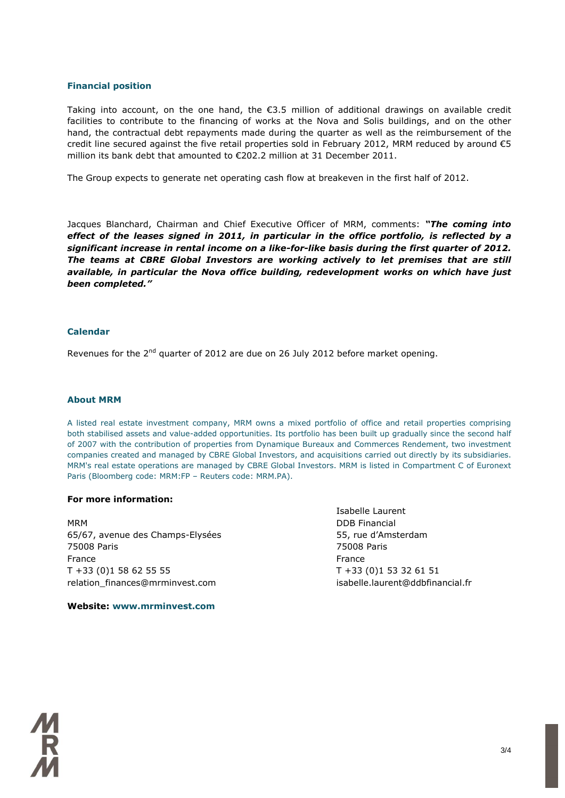### **Financial position**

Taking into account, on the one hand, the €3.5 million of additional drawings on available credit facilities to contribute to the financing of works at the Nova and Solis buildings, and on the other hand, the contractual debt repayments made during the quarter as well as the reimbursement of the credit line secured against the five retail properties sold in February 2012, MRM reduced by around  $\epsilon$ 5 million its bank debt that amounted to €202.2 million at 31 December 2011.

The Group expects to generate net operating cash flow at breakeven in the first half of 2012.

Jacques Blanchard, Chairman and Chief Executive Officer of MRM, comments: *"The coming into effect of the leases signed in 2011, in particular in the office portfolio, is reflected by a significant increase in rental income on a like-for-like basis during the first quarter of 2012. The teams at CBRE Global Investors are working actively to let premises that are still available, in particular the Nova office building, redevelopment works on which have just been completed."*

### **Calendar**

Revenues for the  $2<sup>nd</sup>$  quarter of 2012 are due on 26 July 2012 before market opening.

### **About MRM**

A listed real estate investment company, MRM owns a mixed portfolio of office and retail properties comprising both stabilised assets and value-added opportunities. Its portfolio has been built up gradually since the second half of 2007 with the contribution of properties from Dynamique Bureaux and Commerces Rendement, two investment companies created and managed by CBRE Global Investors, and acquisitions carried out directly by its subsidiaries. MRM's real estate operations are managed by CBRE Global Investors. MRM is listed in Compartment C of Euronext Paris (Bloomberg code: MRM:FP – Reuters code: MRM.PA).

### **For more information:**

MRM DDB Financial 65/67, avenue des Champs-Elysées 55, rue d'Amsterdam 75008 Paris 75008 Paris France **France France France** T +33 (0)1 58 62 55 55 T +33 (0)1 53 32 61 51 relation\_finances@mrminvest.com isabelle.laurent@ddbfinancial.fr

Isabelle Laurent

**Website: www.mrminvest.com**